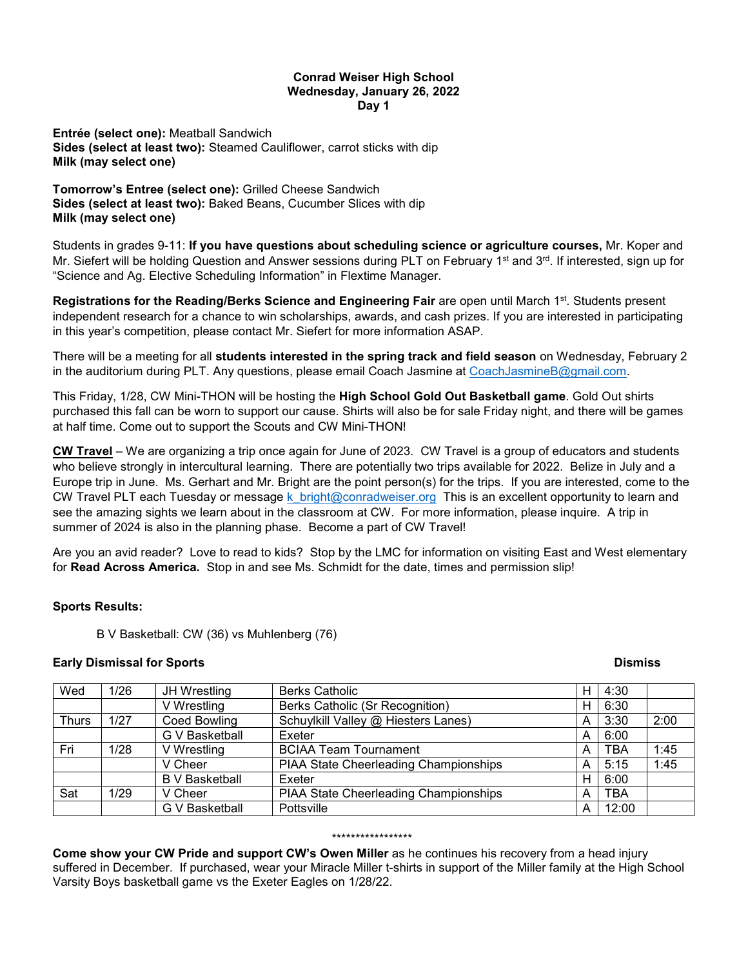### **Conrad Weiser High School Wednesday, January 26, 2022 Day 1**

**Entrée (select one):** Meatball Sandwich **Sides (select at least two):** Steamed Cauliflower, carrot sticks with dip **Milk (may select one)**

**Tomorrow's Entree (select one):** Grilled Cheese Sandwich **Sides (select at least two):** Baked Beans, Cucumber Slices with dip **Milk (may select one)**

Students in grades 9-11: **If you have questions about scheduling science or agriculture courses,** Mr. Koper and Mr. Siefert will be holding Question and Answer sessions during PLT on February 1<sup>st</sup> and 3<sup>rd</sup>. If interested, sign up for "Science and Ag. Elective Scheduling Information" in Flextime Manager.

Registrations for the Reading/Berks Science and Engineering Fair are open until March 1<sup>st</sup>. Students present independent research for a chance to win scholarships, awards, and cash prizes. If you are interested in participating in this year's competition, please contact Mr. Siefert for more information ASAP.

There will be a meeting for all **students interested in the spring track and field season** on Wednesday, February 2 in the auditorium during PLT. Any questions, please email Coach Jasmine at [CoachJasmineB@gmail.com.](mailto:CoachJasmineB@gmail.com)

This Friday, 1/28, CW Mini-THON will be hosting the **High School Gold Out Basketball game**. Gold Out shirts purchased this fall can be worn to support our cause. Shirts will also be for sale Friday night, and there will be games at half time. Come out to support the Scouts and CW Mini-THON!

**CW Travel** – We are organizing a trip once again for June of 2023. CW Travel is a group of educators and students who believe strongly in intercultural learning. There are potentially two trips available for 2022. Belize in July and a Europe trip in June. Ms. Gerhart and Mr. Bright are the point person(s) for the trips. If you are interested, come to the CW Travel PLT each Tuesday or message k bright@conradweiser.org This is an excellent opportunity to learn and see the amazing sights we learn about in the classroom at CW. For more information, please inquire. A trip in summer of 2024 is also in the planning phase. Become a part of CW Travel!

Are you an avid reader? Love to read to kids? Stop by the LMC for information on visiting East and West elementary for **Read Across America.** Stop in and see Ms. Schmidt for the date, times and permission slip!

# **Sports Results:**

B V Basketball: CW (36) vs Muhlenberg (76)

## **Early Dismissal for Sports Contract Contract Contract Contract Contract Contract Contract Contract Contract Contract Contract Contract Contract Contract Contract Contract Contract Contract Contract Contract Contract Contr**

| Wed          | 1/26 | JH Wrestling          | <b>Berks Catholic</b>                        | н | 4:30       |      |
|--------------|------|-----------------------|----------------------------------------------|---|------------|------|
|              |      | V Wrestling           | Berks Catholic (Sr Recognition)              | н | 6:30       |      |
| <b>Thurs</b> | 1/27 | <b>Coed Bowling</b>   | Schuylkill Valley @ Hiesters Lanes)          | A | 3:30       | 2:00 |
|              |      | G V Basketball        | Exeter                                       | А | 6:00       |      |
| Fri          | 1/28 | V Wrestling           | <b>BCIAA Team Tournament</b>                 | A | <b>TBA</b> | 1:45 |
|              |      | V Cheer               | <b>PIAA State Cheerleading Championships</b> | A | 5:15       | 1:45 |
|              |      | <b>B</b> V Basketball | Exeter                                       | н | 6:00       |      |
| Sat          | 1/29 | V Cheer               | PIAA State Cheerleading Championships        | А | <b>TBA</b> |      |
|              |      | G V Basketball        | Pottsville                                   | A | 12:00      |      |

#### \*\*\*\*\*\*\*\*\*\*\*\*\*\*\*\*\*

**Come show your CW Pride and support CW's Owen Miller** as he continues his recovery from a head injury suffered in December. If purchased, wear your Miracle Miller t-shirts in support of the Miller family at the High School Varsity Boys basketball game vs the Exeter Eagles on 1/28/22.